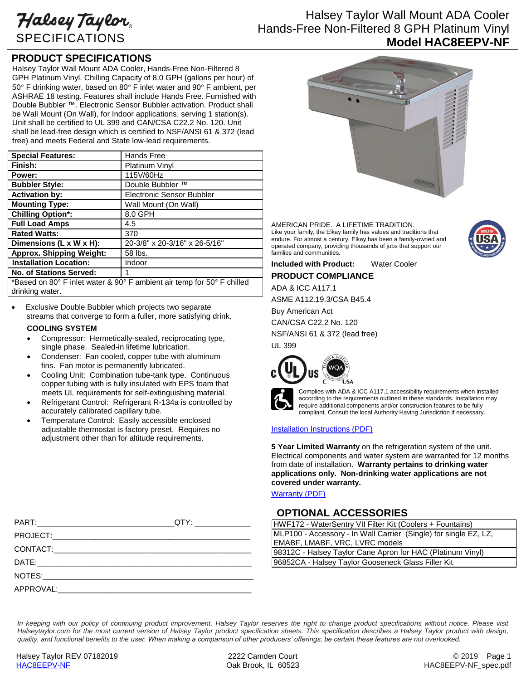# Halsey Taylor SPECIFICATIONS

# Halsey Taylor Wall Mount ADA Cooler Hands-Free Non-Filtered 8 GPH Platinum Vinyl **Model HAC8EEPV-NF**

## **PRODUCT SPECIFICATIONS**

Halsey Taylor Wall Mount ADA Cooler, Hands-Free Non-Filtered 8 GPH Platinum Vinyl. Chilling Capacity of 8.0 GPH (gallons per hour) of  $50^\circ$  F drinking water, based on  $80^\circ$  F inlet water and  $90^\circ$  F ambient, per ASHRAE 18 testing. Features shall include Hands Free. Furnished with Double Bubbler ™. Electronic Sensor Bubbler activation. Product shall be Wall Mount (On Wall), for Indoor applications, serving 1 station(s). Unit shall be certified to UL 399 and CAN/CSA C22.2 No. 120. Unit shall be lead-free design which is certified to NSF/ANSI 61 & 372 (lead free) and meets Federal and State low-lead requirements.

| <b>Special Features:</b>                                                | Hands Free                    |
|-------------------------------------------------------------------------|-------------------------------|
| Finish:                                                                 | Platinum Vinyl                |
| Power:                                                                  | 115V/60Hz                     |
| <b>Bubbler Style:</b>                                                   | Double Bubbler ™              |
| <b>Activation by:</b>                                                   | Electronic Sensor Bubbler     |
| <b>Mounting Type:</b>                                                   | Wall Mount (On Wall)          |
| <b>Chilling Option*:</b>                                                | 8.0 GPH                       |
| <b>Full Load Amps</b>                                                   | 4.5                           |
| <b>Rated Watts:</b>                                                     | 370                           |
| Dimensions (L x W x H):                                                 | 20-3/8" x 20-3/16" x 26-5/16" |
| <b>Approx. Shipping Weight:</b>                                         | 58 lbs.                       |
| <b>Installation Location:</b>                                           | Indoor                        |
| <b>No. of Stations Served:</b>                                          | 1                             |
| *Based on 80° F inlet water 8, 90° F ambient air temp for 50° F chilled |                               |

\*Based on 80° F inlet water & 90° F ambient air temp for 50° F chilled drinking water.

 Exclusive Double Bubbler which projects two separate streams that converge to form a fuller, more satisfying drink.

### **COOLING SYSTEM**

- Compressor: Hermetically-sealed, reciprocating type, single phase. Sealed-in lifetime lubrication.
- Condenser: Fan cooled, copper tube with aluminum fins. Fan motor is permanently lubricated.
- Cooling Unit: Combination tube-tank type. Continuous copper tubing with is fully insulated with EPS foam that meets UL requirements for self-extinguishing material.
- Refrigerant Control: Refrigerant R-134a is controlled by accurately calibrated capillary tube.
- Temperature Control: Easily accessible enclosed adjustable thermostat is factory preset. Requires no adjustment other than for altitude requirements.

| __QTY: _________________ |
|--------------------------|
|                          |
|                          |
|                          |
|                          |
|                          |



AMERICAN PRIDE. A LIFETIME TRADITION. Like your family, the Elkay family has values and traditions that endure. For almost a century, Elkay has been a family-owned and operated company, providing thousands of jobs that support our families and communities.



**Included with Product:** Water Cooler

**PRODUCT COMPLIANCE**

ADA & ICC A117.1

ASME A112.19.3/CSA B45.4

Buy American Act

CAN/CSA C22.2 No. 120

NSF/ANSI 61 & 372 (lead free)

UL 399





Complies with ADA & ICC A117.1 accessibility requirements when installed according to the requirements outlined in these standards. Installation may require additional components and/or construction features to be fully compliant. Consult the local Authority Having Jurisdiction if necessary.

## [Installation Instructions \(PDF\)](http://www.elkay.com/wcsstore/lkdocs/care-cleaning-install-warranty-sheets/98944c.pdf)

**5 Year Limited Warranty** on the refrigeration system of the unit. Electrical components and water system are warranted for 12 months from date of installation. **Warranty pertains to drinking water applications only. Non-drinking water applications are not covered under warranty.**

[Warranty](http://www.elkay.com/wcsstore/lkdocs/care-cleaning-install-warranty-sheets/96994c.pdf) (PDF)

# **OPTIONAL ACCESSORIES**

| HWF172 - WaterSentry VII Filter Kit (Coolers + Fountains)        |  |
|------------------------------------------------------------------|--|
| MLP100 - Accessory - In Wall Carrier (Single) for single EZ, LZ, |  |
| EMABF, LMABF, VRC, LVRC models                                   |  |
| 98312C - Halsey Taylor Cane Apron for HAC (Platinum Vinyl)       |  |
| 96852CA - Halsey Taylor Gooseneck Glass Filler Kit               |  |

In keeping with our policy of continuing product improvement, Halsey Taylor reserves the right to change product specifications without notice. Please visit *Halseytaylor.com for the most current version of Halsey Taylor product specification sheets. This specification describes a Halsey Taylor product with design, quality, and functional benefits to the user. When making a comparison of other producers' offerings, be certain these features are not overlooked.*